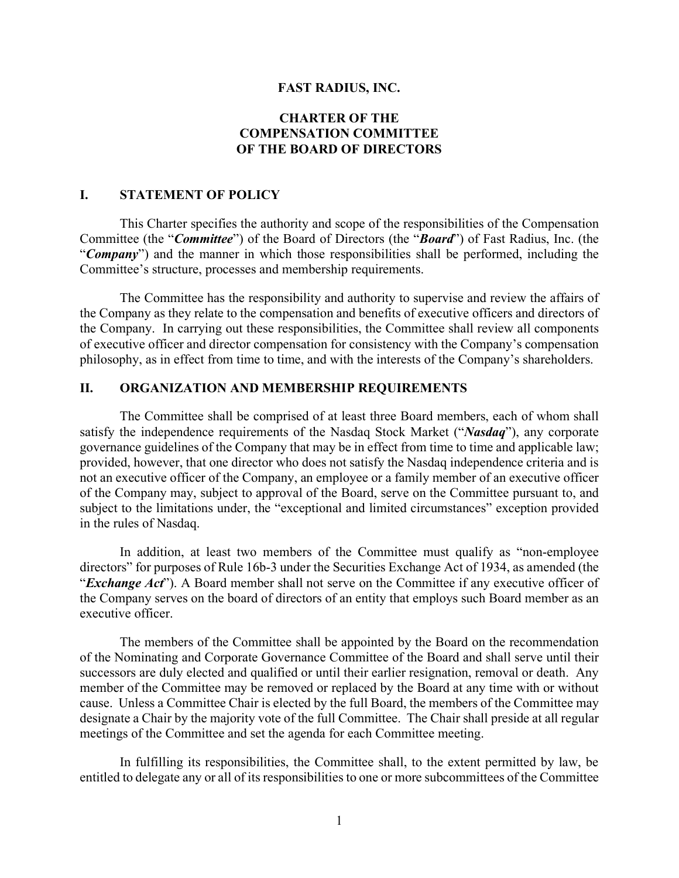#### **FAST RADIUS, INC.**

## **CHARTER OF THE COMPENSATION COMMITTEE OF THE BOARD OF DIRECTORS**

### **I. STATEMENT OF POLICY**

This Charter specifies the authority and scope of the responsibilities of the Compensation Committee (the "*Committee*") of the Board of Directors (the "*Board*") of Fast Radius, Inc. (the "*Company*") and the manner in which those responsibilities shall be performed, including the Committee's structure, processes and membership requirements.

The Committee has the responsibility and authority to supervise and review the affairs of the Company as they relate to the compensation and benefits of executive officers and directors of the Company. In carrying out these responsibilities, the Committee shall review all components of executive officer and director compensation for consistency with the Company's compensation philosophy, as in effect from time to time, and with the interests of the Company's shareholders.

### **II. ORGANIZATION AND MEMBERSHIP REQUIREMENTS**

The Committee shall be comprised of at least three Board members, each of whom shall satisfy the independence requirements of the Nasdaq Stock Market ("*Nasdaq*"), any corporate governance guidelines of the Company that may be in effect from time to time and applicable law; provided, however, that one director who does not satisfy the Nasdaq independence criteria and is not an executive officer of the Company, an employee or a family member of an executive officer of the Company may, subject to approval of the Board, serve on the Committee pursuant to, and subject to the limitations under, the "exceptional and limited circumstances" exception provided in the rules of Nasdaq.

In addition, at least two members of the Committee must qualify as "non-employee directors" for purposes of Rule 16b-3 under the Securities Exchange Act of 1934, as amended (the "*Exchange Act*"). A Board member shall not serve on the Committee if any executive officer of the Company serves on the board of directors of an entity that employs such Board member as an executive officer.

The members of the Committee shall be appointed by the Board on the recommendation of the Nominating and Corporate Governance Committee of the Board and shall serve until their successors are duly elected and qualified or until their earlier resignation, removal or death. Any member of the Committee may be removed or replaced by the Board at any time with or without cause. Unless a Committee Chair is elected by the full Board, the members of the Committee may designate a Chair by the majority vote of the full Committee. The Chair shall preside at all regular meetings of the Committee and set the agenda for each Committee meeting.

In fulfilling its responsibilities, the Committee shall, to the extent permitted by law, be entitled to delegate any or all of its responsibilities to one or more subcommittees of the Committee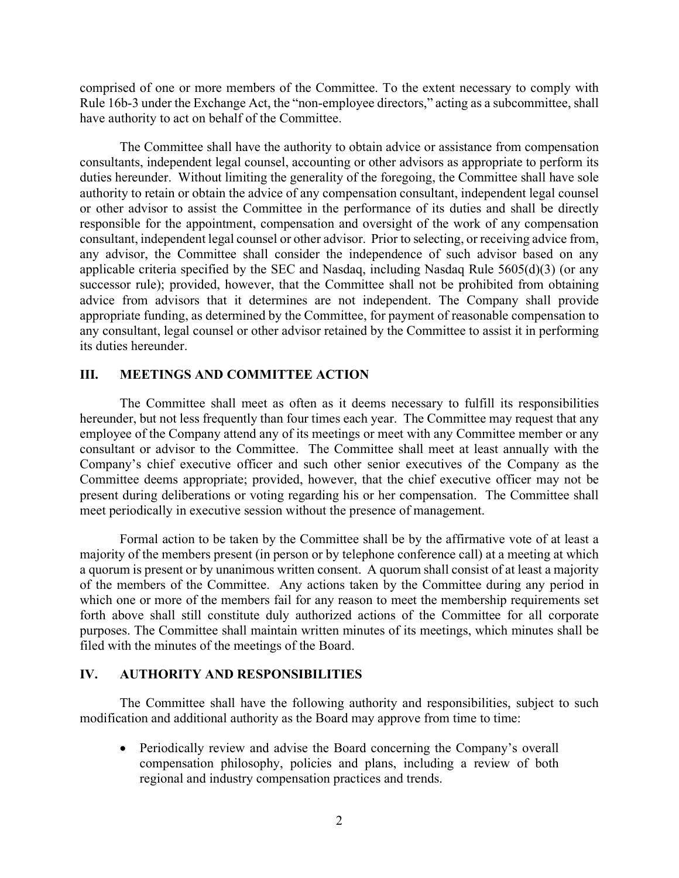comprised of one or more members of the Committee. To the extent necessary to comply with Rule 16b-3 under the Exchange Act, the "non-employee directors," acting as a subcommittee, shall have authority to act on behalf of the Committee.

The Committee shall have the authority to obtain advice or assistance from compensation consultants, independent legal counsel, accounting or other advisors as appropriate to perform its duties hereunder. Without limiting the generality of the foregoing, the Committee shall have sole authority to retain or obtain the advice of any compensation consultant, independent legal counsel or other advisor to assist the Committee in the performance of its duties and shall be directly responsible for the appointment, compensation and oversight of the work of any compensation consultant, independent legal counsel or other advisor. Prior to selecting, or receiving advice from, any advisor, the Committee shall consider the independence of such advisor based on any applicable criteria specified by the SEC and Nasdaq, including Nasdaq Rule 5605(d)(3) (or any successor rule); provided, however, that the Committee shall not be prohibited from obtaining advice from advisors that it determines are not independent. The Company shall provide appropriate funding, as determined by the Committee, for payment of reasonable compensation to any consultant, legal counsel or other advisor retained by the Committee to assist it in performing its duties hereunder.

#### **III. MEETINGS AND COMMITTEE ACTION**

The Committee shall meet as often as it deems necessary to fulfill its responsibilities hereunder, but not less frequently than four times each year. The Committee may request that any employee of the Company attend any of its meetings or meet with any Committee member or any consultant or advisor to the Committee. The Committee shall meet at least annually with the Company's chief executive officer and such other senior executives of the Company as the Committee deems appropriate; provided, however, that the chief executive officer may not be present during deliberations or voting regarding his or her compensation. The Committee shall meet periodically in executive session without the presence of management.

Formal action to be taken by the Committee shall be by the affirmative vote of at least a majority of the members present (in person or by telephone conference call) at a meeting at which a quorum is present or by unanimous written consent. A quorum shall consist of at least a majority of the members of the Committee. Any actions taken by the Committee during any period in which one or more of the members fail for any reason to meet the membership requirements set forth above shall still constitute duly authorized actions of the Committee for all corporate purposes. The Committee shall maintain written minutes of its meetings, which minutes shall be filed with the minutes of the meetings of the Board.

#### **IV. AUTHORITY AND RESPONSIBILITIES**

The Committee shall have the following authority and responsibilities, subject to such modification and additional authority as the Board may approve from time to time:

• Periodically review and advise the Board concerning the Company's overall compensation philosophy, policies and plans, including a review of both regional and industry compensation practices and trends.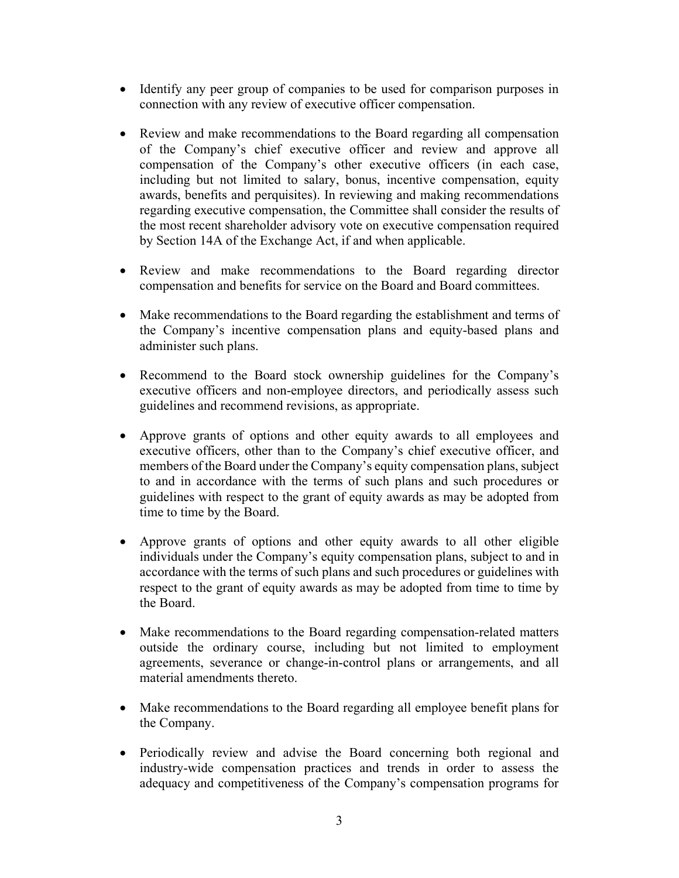- Identify any peer group of companies to be used for comparison purposes in connection with any review of executive officer compensation.
- Review and make recommendations to the Board regarding all compensation of the Company's chief executive officer and review and approve all compensation of the Company's other executive officers (in each case, including but not limited to salary, bonus, incentive compensation, equity awards, benefits and perquisites). In reviewing and making recommendations regarding executive compensation, the Committee shall consider the results of the most recent shareholder advisory vote on executive compensation required by Section 14A of the Exchange Act, if and when applicable.
- Review and make recommendations to the Board regarding director compensation and benefits for service on the Board and Board committees.
- Make recommendations to the Board regarding the establishment and terms of the Company's incentive compensation plans and equity-based plans and administer such plans.
- Recommend to the Board stock ownership guidelines for the Company's executive officers and non-employee directors, and periodically assess such guidelines and recommend revisions, as appropriate.
- Approve grants of options and other equity awards to all employees and executive officers, other than to the Company's chief executive officer, and members of the Board under the Company's equity compensation plans, subject to and in accordance with the terms of such plans and such procedures or guidelines with respect to the grant of equity awards as may be adopted from time to time by the Board.
- Approve grants of options and other equity awards to all other eligible individuals under the Company's equity compensation plans, subject to and in accordance with the terms of such plans and such procedures or guidelines with respect to the grant of equity awards as may be adopted from time to time by the Board.
- Make recommendations to the Board regarding compensation-related matters outside the ordinary course, including but not limited to employment agreements, severance or change-in-control plans or arrangements, and all material amendments thereto.
- Make recommendations to the Board regarding all employee benefit plans for the Company.
- Periodically review and advise the Board concerning both regional and industry-wide compensation practices and trends in order to assess the adequacy and competitiveness of the Company's compensation programs for